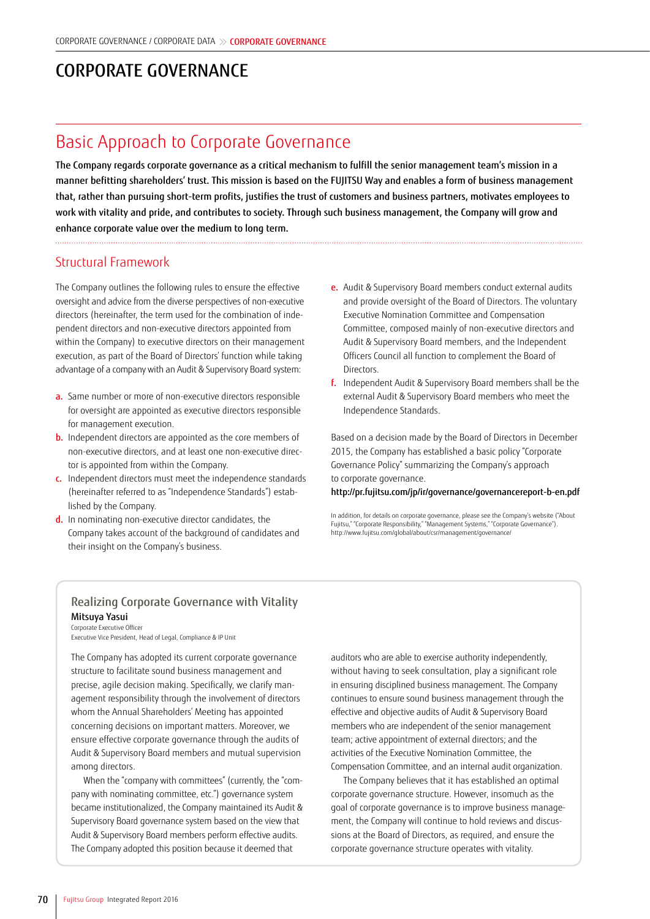# CORPORATE GOVERNANCE

## Basic Approach to Corporate Governance

The Company regards corporate governance as a critical mechanism to fulfill the senior management team's mission in a manner befitting shareholders' trust. This mission is based on the FUJITSU Way and enables a form of business management that, rather than pursuing short-term profits, justifies the trust of customers and business partners, motivates employees to work with vitality and pride, and contributes to society. Through such business management, the Company will grow and enhance corporate value over the medium to long term.

Structural Framework

The Company outlines the following rules to ensure the effective oversight and advice from the diverse perspectives of non-executive directors (hereinafter, the term used for the combination of independent directors and non-executive directors appointed from within the Company) to executive directors on their management execution, as part of the Board of Directors' function while taking advantage of a company with an Audit & Supervisory Board system:

- a. Same number or more of non-executive directors responsible for oversight are appointed as executive directors responsible for management execution.
- **b.** Independent directors are appointed as the core members of non-executive directors, and at least one non-executive director is appointed from within the Company.
- c. Independent directors must meet the independence standards (hereinafter referred to as "Independence Standards") established by the Company.
- d. In nominating non-executive director candidates, the Company takes account of the background of candidates and their insight on the Company's business.
- e. Audit & Supervisory Board members conduct external audits and provide oversight of the Board of Directors. The voluntary Executive Nomination Committee and Compensation Committee, composed mainly of non-executive directors and Audit & Supervisory Board members, and the Independent Officers Council all function to complement the Board of **Directors**
- f. Independent Audit & Supervisory Board members shall be the external Audit & Supervisory Board members who meet the Independence Standards.

Based on a decision made by the Board of Directors in December 2015, the Company has established a basic policy "Corporate Governance Policy" summarizing the Company's approach

to corporate governance.

http://pr.fujitsu.com/jp/ir/governance/governancereport-b-en.pdf

### Realizing Corporate Governance with Vitality Mitsuya Yasui

#### Corporate Executive Officer

Executive Vice President, Head of Legal, Compliance & IP Unit

The Company has adopted its current corporate governance structure to facilitate sound business management and precise, agile decision making. Specifically, we clarify management responsibility through the involvement of directors whom the Annual Shareholders' Meeting has appointed concerning decisions on important matters. Moreover, we ensure effective corporate governance through the audits of Audit & Supervisory Board members and mutual supervision among directors.

When the "company with committees" (currently, the "company with nominating committee, etc.") governance system became institutionalized, the Company maintained its Audit & Supervisory Board governance system based on the view that Audit & Supervisory Board members perform effective audits. The Company adopted this position because it deemed that

auditors who are able to exercise authority independently, without having to seek consultation, play a significant role in ensuring disciplined business management. The Company continues to ensure sound business management through the effective and objective audits of Audit & Supervisory Board members who are independent of the senior management team; active appointment of external directors; and the activities of the Executive Nomination Committee, the Compensation Committee, and an internal audit organization.

The Company believes that it has established an optimal corporate governance structure. However, insomuch as the goal of corporate governance is to improve business management, the Company will continue to hold reviews and discussions at the Board of Directors, as required, and ensure the corporate governance structure operates with vitality.

In addition, for details on corporate governance, please see the Company's website ("About Fujitsu," "Corporate Responsibility," "Management Systems," "Corporate Governance"). http://www.fujitsu.com/global/about/csr/management/governance/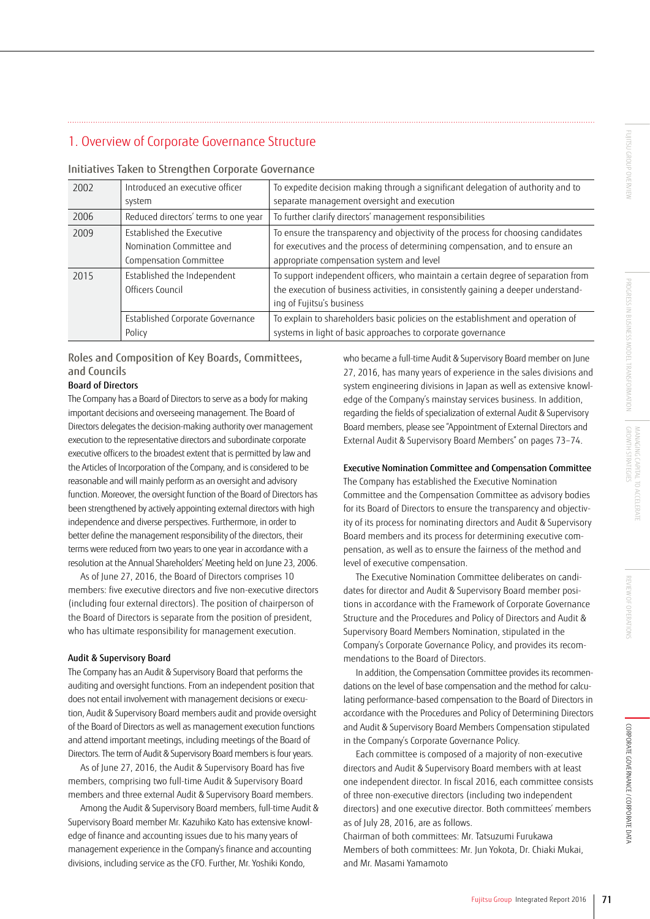## 1. Overview of Corporate Governance Structure

| 2002 | Introduced an executive officer<br>system                                       | To expedite decision making through a significant delegation of authority and to<br>separate management oversight and execution                                                                                |
|------|---------------------------------------------------------------------------------|----------------------------------------------------------------------------------------------------------------------------------------------------------------------------------------------------------------|
| 2006 | Reduced directors' terms to one year                                            | To further clarify directors' management responsibilities                                                                                                                                                      |
| 2009 | Established the Executive<br>Nomination Committee and<br>Compensation Committee | To ensure the transparency and objectivity of the process for choosing candidates<br>for executives and the process of determining compensation, and to ensure an<br>appropriate compensation system and level |
| 2015 | Established the Independent<br>Officers Council                                 | To support independent officers, who maintain a certain degree of separation from<br>the execution of business activities, in consistently gaining a deeper understand-<br>ing of Fujitsu's business           |
|      | Established Corporate Governance<br>Policy                                      | To explain to shareholders basic policies on the establishment and operation of<br>systems in light of basic approaches to corporate governance                                                                |

#### Initiatives Taken to Strengthen Corporate Governance

### Roles and Composition of Key Boards, Committees, and Councils

#### Board of Directors

The Company has a Board of Directors to serve as a body for making important decisions and overseeing management. The Board of Directors delegates the decision-making authority over management execution to the representative directors and subordinate corporate executive officers to the broadest extent that is permitted by law and the Articles of Incorporation of the Company, and is considered to be reasonable and will mainly perform as an oversight and advisory function. Moreover, the oversight function of the Board of Directors has been strengthened by actively appointing external directors with high independence and diverse perspectives. Furthermore, in order to better define the management responsibility of the directors, their terms were reduced from two years to one year in accordance with a resolution at the Annual Shareholders' Meeting held on June 23, 2006.

As of June 27, 2016, the Board of Directors comprises 10 members: five executive directors and five non-executive directors (including four external directors). The position of chairperson of the Board of Directors is separate from the position of president, who has ultimate responsibility for management execution.

#### Audit & Supervisory Board

The Company has an Audit & Supervisory Board that performs the auditing and oversight functions. From an independent position that does not entail involvement with management decisions or execution, Audit & Supervisory Board members audit and provide oversight of the Board of Directors as well as management execution functions and attend important meetings, including meetings of the Board of Directors. The term of Audit & Supervisory Board members is four years.

As of June 27, 2016, the Audit & Supervisory Board has five members, comprising two full-time Audit & Supervisory Board members and three external Audit & Supervisory Board members.

Among the Audit & Supervisory Board members, full-time Audit & Supervisory Board member Mr. Kazuhiko Kato has extensive knowledge of finance and accounting issues due to his many years of management experience in the Company's finance and accounting divisions, including service as the CFO. Further, Mr. Yoshiki Kondo,

who became a full-time Audit & Supervisory Board member on June 27, 2016, has many years of experience in the sales divisions and system engineering divisions in Japan as well as extensive knowledge of the Company's mainstay services business. In addition, regarding the fields of specialization of external Audit & Supervisory Board members, please see "Appointment of External Directors and External Audit & Supervisory Board Members" on pages 73–74.

#### Executive Nomination Committee and Compensation Committee

The Company has established the Executive Nomination Committee and the Compensation Committee as advisory bodies for its Board of Directors to ensure the transparency and objectivity of its process for nominating directors and Audit & Supervisory Board members and its process for determining executive compensation, as well as to ensure the fairness of the method and level of executive compensation.

The Executive Nomination Committee deliberates on candidates for director and Audit & Supervisory Board member positions in accordance with the Framework of Corporate Governance Structure and the Procedures and Policy of Directors and Audit & Supervisory Board Members Nomination, stipulated in the Company's Corporate Governance Policy, and provides its recommendations to the Board of Directors.

In addition, the Compensation Committee provides its recommendations on the level of base compensation and the method for calculating performance-based compensation to the Board of Directors in accordance with the Procedures and Policy of Determining Directors and Audit & Supervisory Board Members Compensation stipulated in the Company's Corporate Governance Policy.

Each committee is composed of a majority of non-executive directors and Audit & Supervisory Board members with at least one independent director. In fiscal 2016, each committee consists of three non-executive directors (including two independent directors) and one executive director. Both committees' members as of July 28, 2016, are as follows.

Chairman of both committees: Mr. Tatsuzumi Furukawa Members of both committees: Mr. Jun Yokota, Dr. Chiaki Mukai, and Mr. Masami Yamamoto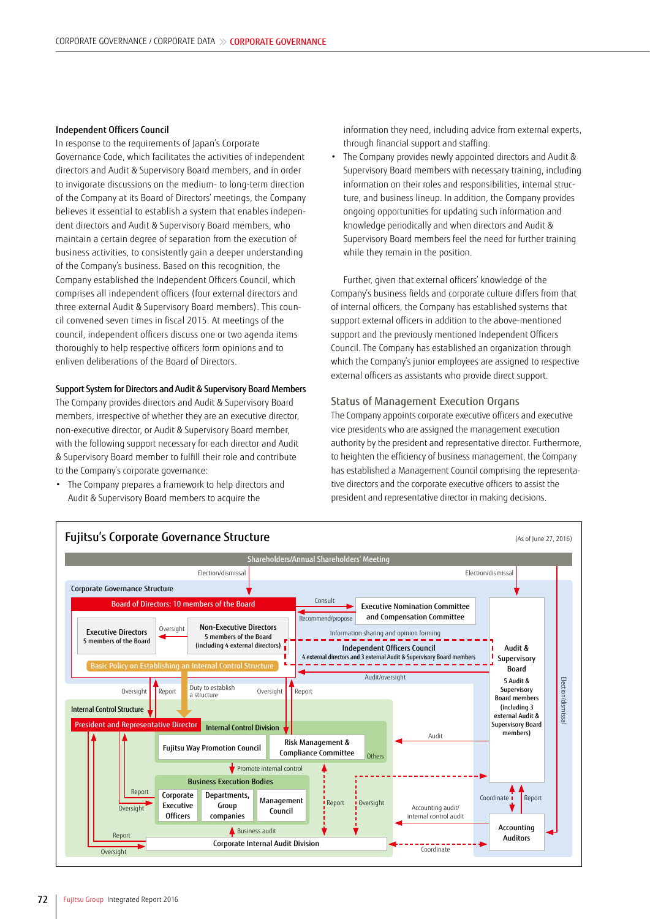#### Independent Officers Council

In response to the requirements of Japan's Corporate Governance Code, which facilitates the activities of independent directors and Audit & Supervisory Board members, and in order to invigorate discussions on the medium- to long-term direction of the Company at its Board of Directors' meetings, the Company believes it essential to establish a system that enables independent directors and Audit & Supervisory Board members, who maintain a certain degree of separation from the execution of business activities, to consistently gain a deeper understanding of the Company's business. Based on this recognition, the Company established the Independent Officers Council, which comprises all independent officers (four external directors and three external Audit & Supervisory Board members). This council convened seven times in fiscal 2015. At meetings of the council, independent officers discuss one or two agenda items thoroughly to help respective officers form opinions and to enliven deliberations of the Board of Directors.

#### Support System for Directors and Audit & Supervisory Board Members

The Company provides directors and Audit & Supervisory Board members, irrespective of whether they are an executive director, non-executive director, or Audit & Supervisory Board member, with the following support necessary for each director and Audit & Supervisory Board member to fulfill their role and contribute to the Company's corporate governance:

• The Company prepares a framework to help directors and Audit & Supervisory Board members to acquire the

information they need, including advice from external experts, through financial support and staffing.

• The Company provides newly appointed directors and Audit & Supervisory Board members with necessary training, including information on their roles and responsibilities, internal structure, and business lineup. In addition, the Company provides ongoing opportunities for updating such information and knowledge periodically and when directors and Audit & Supervisory Board members feel the need for further training while they remain in the position.

Further, given that external officers' knowledge of the Company's business fields and corporate culture differs from that of internal officers, the Company has established systems that support external officers in addition to the above-mentioned support and the previously mentioned Independent Officers Council. The Company has established an organization through which the Company's junior employees are assigned to respective external officers as assistants who provide direct support.

#### Status of Management Execution Organs

The Company appoints corporate executive officers and executive vice presidents who are assigned the management execution authority by the president and representative director. Furthermore, to heighten the efficiency of business management, the Company has established a Management Council comprising the representative directors and the corporate executive officers to assist the president and representative director in making decisions.

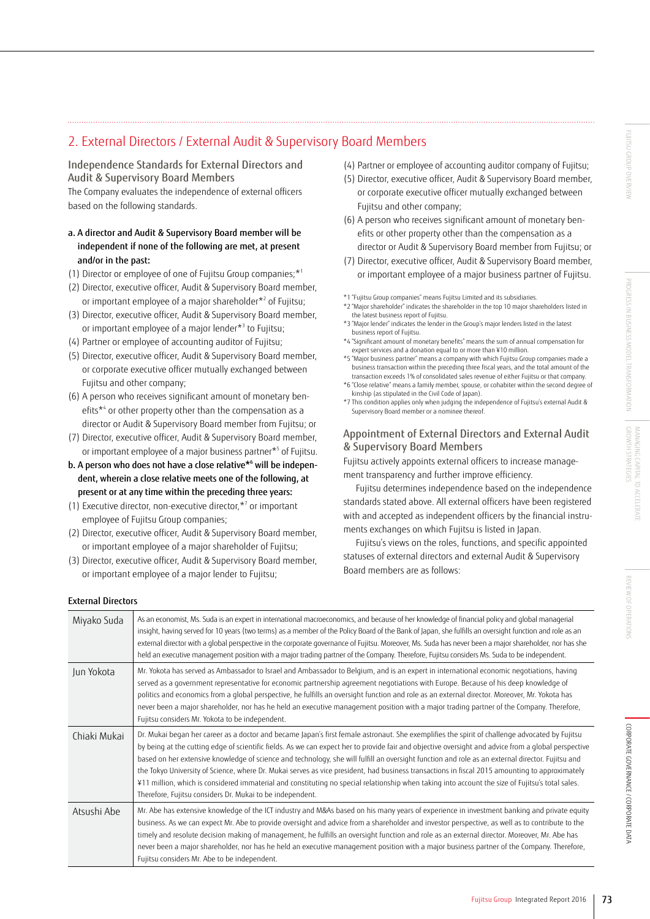## 2. External Directors / External Audit & Supervisory Board Members

### Independence Standards for External Directors and Audit & Supervisory Board Members

The Company evaluates the independence of external officers based on the following standards.

### a. A director and Audit & Supervisory Board member will be independent if none of the following are met, at present and/or in the past:

- (1) Director or employee of one of Fujitsu Group companies;  $*1$
- (2) Director, executive officer, Audit & Supervisory Board member, or important employee of a major shareholder\*2 of Fujitsu;
- (3) Director, executive officer, Audit & Supervisory Board member, or important employee of a major lender\*3 to Fujitsu;
- (4) Partner or employee of accounting auditor of Fujitsu;
- (5) Director, executive officer, Audit & Supervisory Board member, or corporate executive officer mutually exchanged between Fujitsu and other company;
- (6) A person who receives significant amount of monetary benefits<sup>\*4</sup> or other property other than the compensation as a director or Audit & Supervisory Board member from Fujitsu; or
- (7) Director, executive officer, Audit & Supervisory Board member, or important employee of a major business partner\*5 of Fujitsu.
- b. A person who does not have a close relative\*6 will be independent, wherein a close relative meets one of the following, at present or at any time within the preceding three years:
- (1) Executive director, non-executive director, $*$ <sup>7</sup> or important employee of Fujitsu Group companies;
- (2) Director, executive officer, Audit & Supervisory Board member, or important employee of a major shareholder of Fujitsu;
- (3) Director, executive officer, Audit & Supervisory Board member, or important employee of a major lender to Fujitsu;
- (4) Partner or employee of accounting auditor company of Fujitsu;
- (5) Director, executive officer, Audit & Supervisory Board member, or corporate executive officer mutually exchanged between Fujitsu and other company;
- (6) A person who receives significant amount of monetary benefits or other property other than the compensation as a director or Audit & Supervisory Board member from Fujitsu; or
- (7) Director, executive officer, Audit & Supervisory Board member, or important employee of a major business partner of Fujitsu.
- \*1 "Fujitsu Group companies" means Fujitsu Limited and its subsidiaries.
- \*2 "Major shareholder" indicates the shareholder in the top 10 major shareholders listed in the latest business report of Fujitsu.
- \*3 "Major lender" indicates the lender in the Group's major lenders listed in the latest business report of Fujitsu.
- \*4 "Significant amount of monetary benefits" means the sum of annual compensation for expert services and a donation equal to or more than ¥10 million.
- \*5 "Major business partner" means a company with which Fujitsu Group companies made a business transaction within the preceding three fiscal years, and the total amount of the transaction exceeds 1% of consolidated sales revenue of either Fujitsu or that company.
- \*6 "Close relative" means a family member, spouse, or cohabiter within the second degree of kinship (as stipulated in the Civil Code of Japan).
- \*7 This condition applies only when judging the independence of Fujitsu's external Audit & Supervisory Board member or a nominee thereof.

### Appointment of External Directors and External Audit & Supervisory Board Members

Fujitsu actively appoints external officers to increase management transparency and further improve efficiency.

Fujitsu determines independence based on the independence standards stated above. All external officers have been registered with and accepted as independent officers by the financial instruments exchanges on which Fujitsu is listed in Japan.

Fujitsu's views on the roles, functions, and specific appointed statuses of external directors and external Audit & Supervisory Board members are as follows:

#### External Directors

| Miyako Suda  | As an economist, Ms. Suda is an expert in international macroeconomics, and because of her knowledge of financial policy and global managerial<br>insight, having served for 10 years (two terms) as a member of the Policy Board of the Bank of Japan, she fulfills an oversight function and role as an<br>external director with a global perspective in the corporate governance of Fujitsu. Moreover, Ms. Suda has never been a major shareholder, nor has she<br>held an executive management position with a major trading partner of the Company. Therefore, Fujitsu considers Ms. Suda to be independent.                                                                                                                                                                                                            |
|--------------|-------------------------------------------------------------------------------------------------------------------------------------------------------------------------------------------------------------------------------------------------------------------------------------------------------------------------------------------------------------------------------------------------------------------------------------------------------------------------------------------------------------------------------------------------------------------------------------------------------------------------------------------------------------------------------------------------------------------------------------------------------------------------------------------------------------------------------|
| Jun Yokota   | Mr. Yokota has served as Ambassador to Israel and Ambassador to Belgium, and is an expert in international economic negotiations, having<br>served as a government representative for economic partnership agreement negotiations with Europe. Because of his deep knowledge of<br>politics and economics from a global perspective, he fulfills an oversight function and role as an external director. Moreover, Mr. Yokota has<br>never been a major shareholder, nor has he held an executive management position with a major trading partner of the Company. Therefore,<br>Fujitsu considers Mr. Yokota to be independent.                                                                                                                                                                                              |
| Chiaki Mukai | Dr. Mukai began her career as a doctor and became Japan's first female astronaut. She exemplifies the spirit of challenge advocated by Fujitsu<br>by being at the cutting edge of scientific fields. As we can expect her to provide fair and objective oversight and advice from a global perspective<br>based on her extensive knowledge of science and technology, she will fulfill an oversight function and role as an external director. Fujitsu and<br>the Tokyo University of Science, where Dr. Mukai serves as vice president, had business transactions in fiscal 2015 amounting to approximately<br>¥11 million, which is considered immaterial and constituting no special relationship when taking into account the size of Fujitsu's total sales.<br>Therefore, Fujitsu considers Dr. Mukai to be independent. |
| Atsushi Abe  | Mr. Abe has extensive knowledge of the ICT industry and M&As based on his many years of experience in investment banking and private equity<br>business. As we can expect Mr. Abe to provide oversight and advice from a shareholder and investor perspective, as well as to contribute to the<br>timely and resolute decision making of management, he fulfills an oversight function and role as an external director. Moreover, Mr. Abe has<br>never been a major shareholder, nor has he held an executive management position with a major business partner of the Company. Therefore,<br>Fujitsu considers Mr. Abe to be independent.                                                                                                                                                                                   |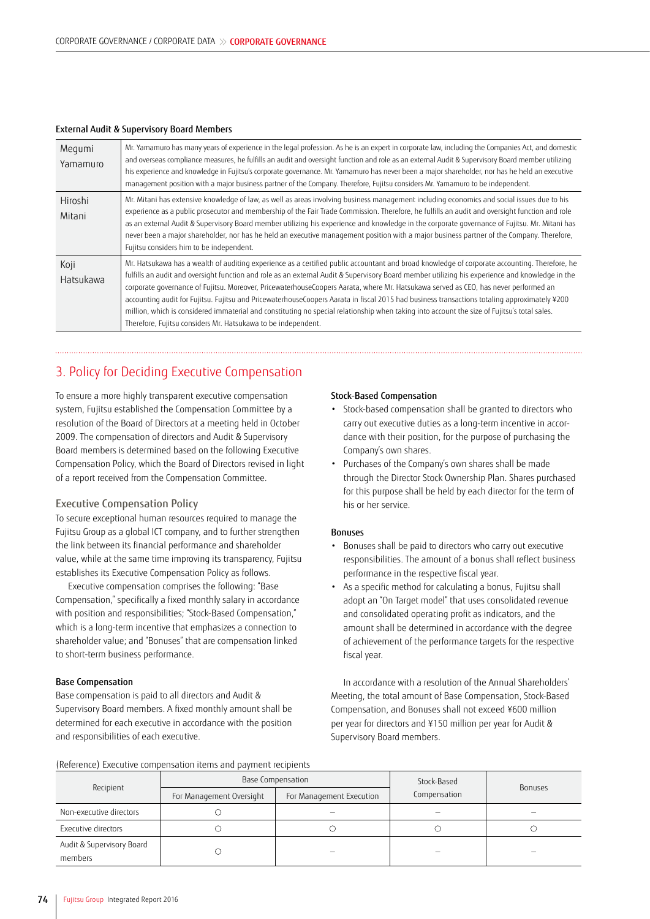| Megumi<br>Yamamuro | Mr. Yamamuro has many years of experience in the legal profession. As he is an expert in corporate law, including the Companies Act, and domestic<br>and overseas compliance measures, he fulfills an audit and oversight function and role as an external Audit & Supervisory Board member utilizing<br>his experience and knowledge in Fujitsu's corporate governance. Mr. Yamamuro has never been a major shareholder, nor has he held an executive<br>management position with a major business partner of the Company. Therefore, Fujitsu considers Mr. Yamamuro to be independent.                                                                                                                                                                                                                 |
|--------------------|----------------------------------------------------------------------------------------------------------------------------------------------------------------------------------------------------------------------------------------------------------------------------------------------------------------------------------------------------------------------------------------------------------------------------------------------------------------------------------------------------------------------------------------------------------------------------------------------------------------------------------------------------------------------------------------------------------------------------------------------------------------------------------------------------------|
| Hiroshi<br>Mitani  | Mr. Mitani has extensive knowledge of law, as well as areas involving business management including economics and social issues due to his<br>experience as a public prosecutor and membership of the Fair Trade Commission. Therefore, he fulfills an audit and oversight function and role<br>as an external Audit & Supervisory Board member utilizing his experience and knowledge in the corporate governance of Fujitsu. Mr. Mitani has<br>never been a major shareholder, nor has he held an executive management position with a major business partner of the Company. Therefore,<br>Fujitsu considers him to be independent.                                                                                                                                                                   |
| Koji<br>Hatsukawa  | Mr. Hatsukawa has a wealth of auditing experience as a certified public accountant and broad knowledge of corporate accounting. Therefore, he<br>fulfills an audit and oversight function and role as an external Audit & Supervisory Board member utilizing his experience and knowledge in the<br>corporate governance of Fujitsu. Moreover, PricewaterhouseCoopers Aarata, where Mr. Hatsukawa served as CEO, has never performed an<br>accounting audit for Fujitsu. Fujitsu and PricewaterhouseCoopers Aarata in fiscal 2015 had business transactions totaling approximately ¥200<br>million, which is considered immaterial and constituting no special relationship when taking into account the size of Fujitsu's total sales.<br>Therefore, Fujitsu considers Mr. Hatsukawa to be independent. |

#### External Audit & Supervisory Board Members

## 3. Policy for Deciding Executive Compensation

To ensure a more highly transparent executive compensation system, Fujitsu established the Compensation Committee by a resolution of the Board of Directors at a meeting held in October 2009. The compensation of directors and Audit & Supervisory Board members is determined based on the following Executive Compensation Policy, which the Board of Directors revised in light of a report received from the Compensation Committee.

#### Executive Compensation Policy

To secure exceptional human resources required to manage the Fujitsu Group as a global ICT company, and to further strengthen the link between its financial performance and shareholder value, while at the same time improving its transparency, Fujitsu establishes its Executive Compensation Policy as follows.

Executive compensation comprises the following: "Base Compensation," specifically a fixed monthly salary in accordance with position and responsibilities; "Stock-Based Compensation," which is a long-term incentive that emphasizes a connection to shareholder value; and "Bonuses" that are compensation linked to short-term business performance.

#### Base Compensation

Base compensation is paid to all directors and Audit & Supervisory Board members. A fixed monthly amount shall be determined for each executive in accordance with the position and responsibilities of each executive.

#### Stock-Based Compensation

- Stock-based compensation shall be granted to directors who carry out executive duties as a long-term incentive in accordance with their position, for the purpose of purchasing the Company's own shares.
- Purchases of the Company's own shares shall be made through the Director Stock Ownership Plan. Shares purchased for this purpose shall be held by each director for the term of his or her service.

#### Bonuses

- Bonuses shall be paid to directors who carry out executive responsibilities. The amount of a bonus shall reflect business performance in the respective fiscal year.
- As a specific method for calculating a bonus, Fujitsu shall adopt an "On Target model" that uses consolidated revenue and consolidated operating profit as indicators, and the amount shall be determined in accordance with the degree of achievement of the performance targets for the respective fiscal year.

In accordance with a resolution of the Annual Shareholders' Meeting, the total amount of Base Compensation, Stock-Based Compensation, and Bonuses shall not exceed ¥600 million per year for directors and ¥150 million per year for Audit & Supervisory Board members.

(Reference) Executive compensation items and payment recipients

| preference, executive compensation rechts and payment recipients |                          |                          |              |                |  |
|------------------------------------------------------------------|--------------------------|--------------------------|--------------|----------------|--|
| Recipient                                                        |                          | <b>Base Compensation</b> | Stock-Based  |                |  |
|                                                                  | For Management Oversight | For Management Execution | Compensation | <b>Bonuses</b> |  |
| Non-executive directors                                          |                          |                          |              |                |  |
| Executive directors                                              |                          |                          |              |                |  |
| Audit & Supervisory Board<br>members                             |                          |                          |              |                |  |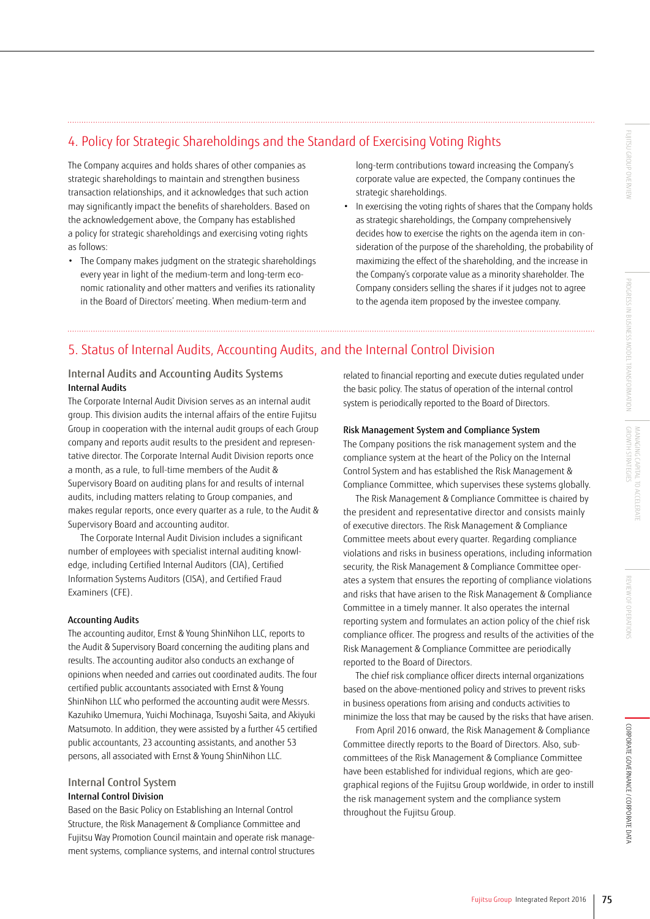## 4. Policy for Strategic Shareholdings and the Standard of Exercising Voting Rights

The Company acquires and holds shares of other companies as strategic shareholdings to maintain and strengthen business transaction relationships, and it acknowledges that such action may significantly impact the benefits of shareholders. Based on the acknowledgement above, the Company has established a policy for strategic shareholdings and exercising voting rights as follows:

• The Company makes judgment on the strategic shareholdings every year in light of the medium-term and long-term economic rationality and other matters and verifies its rationality in the Board of Directors' meeting. When medium-term and

long-term contributions toward increasing the Company's corporate value are expected, the Company continues the strategic shareholdings.

• In exercising the voting rights of shares that the Company holds as strategic shareholdings, the Company comprehensively decides how to exercise the rights on the agenda item in consideration of the purpose of the shareholding, the probability of maximizing the effect of the shareholding, and the increase in the Company's corporate value as a minority shareholder. The Company considers selling the shares if it judges not to agree to the agenda item proposed by the investee company.

## 5. Status of Internal Audits, Accounting Audits, and the Internal Control Division

### Internal Audits and Accounting Audits Systems Internal Audits

The Corporate Internal Audit Division serves as an internal audit group. This division audits the internal affairs of the entire Fujitsu Group in cooperation with the internal audit groups of each Group company and reports audit results to the president and representative director. The Corporate Internal Audit Division reports once a month, as a rule, to full-time members of the Audit & Supervisory Board on auditing plans for and results of internal audits, including matters relating to Group companies, and makes regular reports, once every quarter as a rule, to the Audit & Supervisory Board and accounting auditor.

The Corporate Internal Audit Division includes a significant number of employees with specialist internal auditing knowledge, including Certified Internal Auditors (CIA), Certified Information Systems Auditors (CISA), and Certified Fraud Examiners (CFE).

#### Accounting Audits

The accounting auditor, Ernst & Young ShinNihon LLC, reports to the Audit & Supervisory Board concerning the auditing plans and results. The accounting auditor also conducts an exchange of opinions when needed and carries out coordinated audits. The four certified public accountants associated with Ernst & Young ShinNihon LLC who performed the accounting audit were Messrs. Kazuhiko Umemura, Yuichi Mochinaga, Tsuyoshi Saita, and Akiyuki Matsumoto. In addition, they were assisted by a further 45 certified public accountants, 23 accounting assistants, and another 53 persons, all associated with Ernst & Young ShinNihon LLC.

## Internal Control System

## Internal Control Division

Based on the Basic Policy on Establishing an Internal Control Structure, the Risk Management & Compliance Committee and Fujitsu Way Promotion Council maintain and operate risk management systems, compliance systems, and internal control structures related to financial reporting and execute duties regulated under the basic policy. The status of operation of the internal control system is periodically reported to the Board of Directors.

#### Risk Management System and Compliance System

The Company positions the risk management system and the compliance system at the heart of the Policy on the Internal Control System and has established the Risk Management & Compliance Committee, which supervises these systems globally.

The Risk Management & Compliance Committee is chaired by the president and representative director and consists mainly of executive directors. The Risk Management & Compliance Committee meets about every quarter. Regarding compliance violations and risks in business operations, including information security, the Risk Management & Compliance Committee operates a system that ensures the reporting of compliance violations and risks that have arisen to the Risk Management & Compliance Committee in a timely manner. It also operates the internal reporting system and formulates an action policy of the chief risk compliance officer. The progress and results of the activities of the Risk Management & Compliance Committee are periodically reported to the Board of Directors.

The chief risk compliance officer directs internal organizations based on the above-mentioned policy and strives to prevent risks in business operations from arising and conducts activities to minimize the loss that may be caused by the risks that have arisen.

From April 2016 onward, the Risk Management & Compliance Committee directly reports to the Board of Directors. Also, subcommittees of the Risk Management & Compliance Committee have been established for individual regions, which are geographical regions of the Fujitsu Group worldwide, in order to instill the risk management system and the compliance system throughout the Fujitsu Group.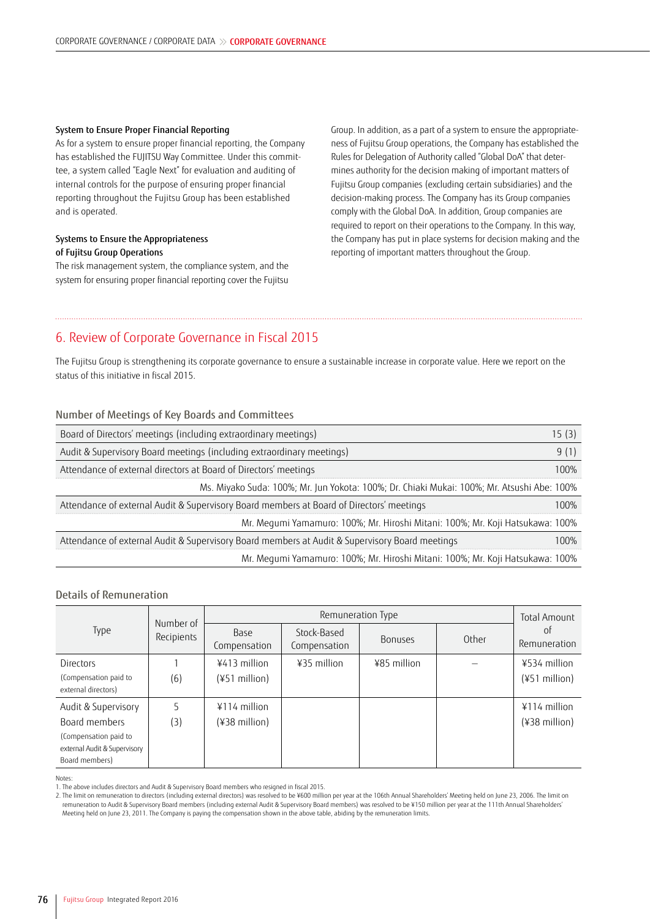#### System to Ensure Proper Financial Reporting

As for a system to ensure proper financial reporting, the Company has established the FUJITSU Way Committee. Under this committee, a system called "Eagle Next" for evaluation and auditing of internal controls for the purpose of ensuring proper financial reporting throughout the Fujitsu Group has been established and is operated.

#### Systems to Ensure the Appropriateness of Fujitsu Group Operations

The risk management system, the compliance system, and the system for ensuring proper financial reporting cover the Fujitsu

Group. In addition, as a part of a system to ensure the appropriateness of Fujitsu Group operations, the Company has established the Rules for Delegation of Authority called "Global DoA" that determines authority for the decision making of important matters of Fujitsu Group companies (excluding certain subsidiaries) and the decision-making process. The Company has its Group companies comply with the Global DoA. In addition, Group companies are required to report on their operations to the Company. In this way, the Company has put in place systems for decision making and the reporting of important matters throughout the Group.

## 6. Review of Corporate Governance in Fiscal 2015

The Fujitsu Group is strengthening its corporate governance to ensure a sustainable increase in corporate value. Here we report on the status of this initiative in fiscal 2015.

### Number of Meetings of Key Boards and Committees

| Board of Directors' meetings (including extraordinary meetings)                                |      |  |
|------------------------------------------------------------------------------------------------|------|--|
| Audit & Supervisory Board meetings (including extraordinary meetings)                          |      |  |
| Attendance of external directors at Board of Directors' meetings                               | 100% |  |
| Ms. Miyako Suda: 100%; Mr. Jun Yokota: 100%; Dr. Chiaki Mukai: 100%; Mr. Atsushi Abe: 100%     |      |  |
| Attendance of external Audit & Supervisory Board members at Board of Directors' meetings       | 100% |  |
| Mr. Mequmi Yamamuro: 100%; Mr. Hiroshi Mitani: 100%; Mr. Koji Hatsukawa: 100%                  |      |  |
| Attendance of external Audit & Supervisory Board members at Audit & Supervisory Board meetings | 100% |  |
| Mr. Mequmi Yamamuro: 100%; Mr. Hiroshi Mitani: 100%; Mr. Koji Hatsukawa: 100%                  |      |  |

### Details of Remuneration

|                                                                         |                         | Remuneration Type    |                             |                |       | <b>Total Amount</b> |
|-------------------------------------------------------------------------|-------------------------|----------------------|-----------------------------|----------------|-------|---------------------|
| Type                                                                    | Number of<br>Recipients | Base<br>Compensation | Stock-Based<br>Compensation | <b>Bonuses</b> | Other | 0ľ<br>Remuneration  |
| Directors                                                               |                         | ¥413 million         | $435$ million               | ¥85 million    |       | $4534$ million      |
| (Compensation paid to<br>external directors)                            | (6)                     | (¥51 million)        |                             |                |       | (¥51 million)       |
| Audit & Supervisory                                                     |                         | $4114$ million       |                             |                |       | $4114$ million      |
| Board members                                                           | (3)                     | (¥38 million)        |                             |                |       | $(438$ million)     |
| (Compensation paid to<br>external Audit & Supervisory<br>Board members) |                         |                      |                             |                |       |                     |

Notes:

2. The limit on remuneration to directors (including external directors) was resolved to be ¥600 million per year at the 106th Annual Shareholders' Meeting held on June 23, 2006. The limit on remuneration to Audit & Supervisory Board members (including external Audit & Supervisory Board members) was resolved to be ¥150 million per year at the 111th Annual Shareholders' Meeting held on June 23, 2011. The Company is paying the compensation shown in the above table, abiding by the remuneration limits.

<sup>1.</sup> The above includes directors and Audit & Supervisory Board members who resigned in fiscal 2015.